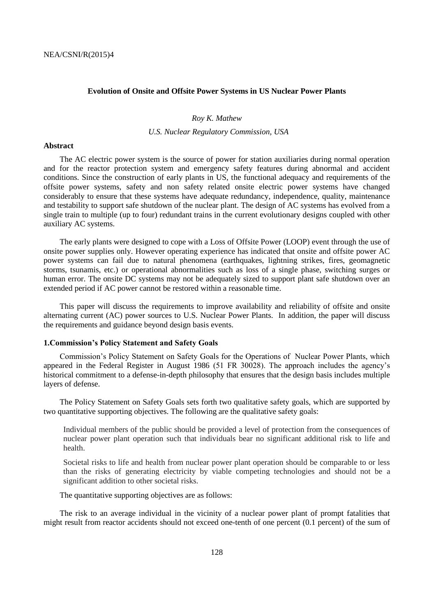#### **Evolution of Onsite and Offsite Power Systems in US Nuclear Power Plants**

# *Roy K. Mathew*

# *U.S. Nuclear Regulatory Commission, USA*

#### **Abstract**

The AC electric power system is the source of power for station auxiliaries during normal operation and for the reactor protection system and emergency safety features during abnormal and accident conditions. Since the construction of early plants in US, the functional adequacy and requirements of the offsite power systems, safety and non safety related onsite electric power systems have changed considerably to ensure that these systems have adequate redundancy, independence, quality, maintenance and testability to support safe shutdown of the nuclear plant. The design of AC systems has evolved from a single train to multiple (up to four) redundant trains in the current evolutionary designs coupled with other auxiliary AC systems.

The early plants were designed to cope with a Loss of Offsite Power (LOOP) event through the use of onsite power supplies only. However operating experience has indicated that onsite and offsite power AC power systems can fail due to natural phenomena (earthquakes, lightning strikes, fires, geomagnetic storms, tsunamis, etc.) or operational abnormalities such as loss of a single phase, switching surges or human error. The onsite DC systems may not be adequately sized to support plant safe shutdown over an extended period if AC power cannot be restored within a reasonable time.

This paper will discuss the requirements to improve availability and reliability of offsite and onsite alternating current (AC) power sources to U.S. Nuclear Power Plants. In addition, the paper will discuss the requirements and guidance beyond design basis events.

### **1.Commission's Policy Statement and Safety Goals**

Commission's Policy Statement on Safety Goals for the Operations of Nuclear Power Plants, which appeared in the Federal Register in August 1986 (51 FR 30028). The approach includes the agency's historical commitment to a defense-in-depth philosophy that ensures that the design basis includes multiple layers of defense.

The Policy Statement on Safety Goals sets forth two qualitative safety goals, which are supported by two quantitative supporting objectives. The following are the qualitative safety goals:

Individual members of the public should be provided a level of protection from the consequences of nuclear power plant operation such that individuals bear no significant additional risk to life and health.

Societal risks to life and health from nuclear power plant operation should be comparable to or less than the risks of generating electricity by viable competing technologies and should not be a significant addition to other societal risks.

The quantitative supporting objectives are as follows:

The risk to an average individual in the vicinity of a nuclear power plant of prompt fatalities that might result from reactor accidents should not exceed one-tenth of one percent (0.1 percent) of the sum of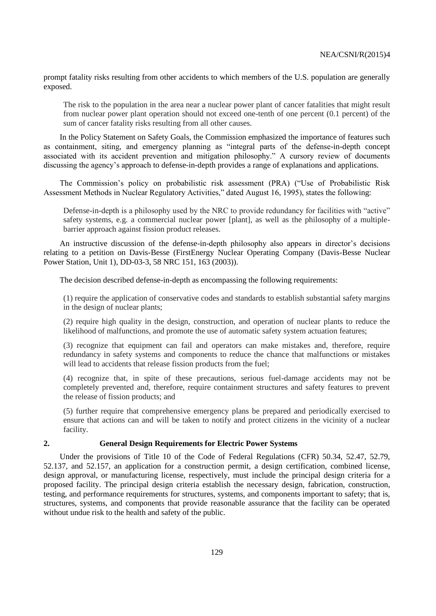prompt fatality risks resulting from other accidents to which members of the U.S. population are generally exposed.

The risk to the population in the area near a nuclear power plant of cancer fatalities that might result from nuclear power plant operation should not exceed one-tenth of one percent (0.1 percent) of the sum of cancer fatality risks resulting from all other causes.

In the Policy Statement on Safety Goals, the Commission emphasized the importance of features such as containment, siting, and emergency planning as "integral parts of the defense-in-depth concept associated with its accident prevention and mitigation philosophy." A cursory review of documents discussing the agency's approach to defense-in-depth provides a range of explanations and applications.

The Commission's policy on probabilistic risk assessment (PRA) ("Use of Probabilistic Risk Assessment Methods in Nuclear Regulatory Activities," dated August 16, 1995), states the following:

Defense-in-depth is a philosophy used by the NRC to provide redundancy for facilities with "active" safety systems, e.g. a commercial nuclear power [plant], as well as the philosophy of a multiplebarrier approach against fission product releases.

An instructive discussion of the defense-in-depth philosophy also appears in director's decisions relating to a petition on Davis-Besse (FirstEnergy Nuclear Operating Company (Davis-Besse Nuclear Power Station, Unit 1), DD-03-3, 58 NRC 151, 163 (2003)).

The decision described defense-in-depth as encompassing the following requirements:

(1) require the application of conservative codes and standards to establish substantial safety margins in the design of nuclear plants;

(2) require high quality in the design, construction, and operation of nuclear plants to reduce the likelihood of malfunctions, and promote the use of automatic safety system actuation features;

(3) recognize that equipment can fail and operators can make mistakes and, therefore, require redundancy in safety systems and components to reduce the chance that malfunctions or mistakes will lead to accidents that release fission products from the fuel;

(4) recognize that, in spite of these precautions, serious fuel-damage accidents may not be completely prevented and, therefore, require containment structures and safety features to prevent the release of fission products; and

(5) further require that comprehensive emergency plans be prepared and periodically exercised to ensure that actions can and will be taken to notify and protect citizens in the vicinity of a nuclear facility.

#### **2. General Design Requirements for Electric Power Systems**

Under the provisions of Title 10 of the Code of Federal Regulations (CFR) 50.34, 52.47, 52.79, 52.137, and 52.157, an application for a construction permit, a design certification, combined license, design approval, or manufacturing license, respectively, must include the principal design criteria for a proposed facility. The principal design criteria establish the necessary design, fabrication, construction, testing, and performance requirements for structures, systems, and components important to safety; that is, structures, systems, and components that provide reasonable assurance that the facility can be operated without undue risk to the health and safety of the public.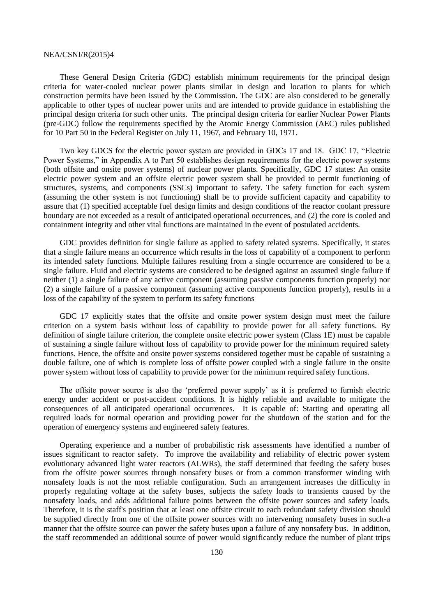These General Design Criteria (GDC) establish minimum requirements for the principal design criteria for water-cooled nuclear power plants similar in design and location to plants for which construction permits have been issued by the Commission. The GDC are also considered to be generally applicable to other types of nuclear power units and are intended to provide guidance in establishing the principal design criteria for such other units. The principal design criteria for earlier Nuclear Power Plants (pre-GDC) follow the requirements specified by the Atomic Energy Commission (AEC) rules published for 10 Part 50 in the Federal Register on July 11, 1967, and February 10, 1971.

Two key GDCS for the electric power system are provided in GDCs 17 and 18. GDC 17, "Electric Power Systems," in Appendix A to Part 50 establishes design requirements for the electric power systems (both offsite and onsite power systems) of nuclear power plants. Specifically, GDC 17 states: An onsite electric power system and an offsite electric power system shall be provided to permit functioning of structures, systems, and components (SSCs) important to safety. The safety function for each system (assuming the other system is not functioning) shall be to provide sufficient capacity and capability to assure that (1) specified acceptable fuel design limits and design conditions of the reactor coolant pressure boundary are not exceeded as a result of anticipated operational occurrences, and (2) the core is cooled and containment integrity and other vital functions are maintained in the event of postulated accidents.

GDC provides definition for single failure as applied to safety related systems. Specifically, it states that a single failure means an occurrence which results in the loss of capability of a component to perform its intended safety functions. Multiple failures resulting from a single occurrence are considered to be a single failure. Fluid and electric systems are considered to be designed against an assumed single failure if neither (1) a single failure of any active component (assuming passive components function properly) nor (2) a single failure of a passive component (assuming active components function properly), results in a loss of the capability of the system to perform its safety functions

GDC 17 explicitly states that the offsite and onsite power system design must meet the failure criterion on a system basis without loss of capability to provide power for all safety functions. By definition of single failure criterion, the complete onsite electric power system (Class 1E) must be capable of sustaining a single failure without loss of capability to provide power for the minimum required safety functions. Hence, the offsite and onsite power systems considered together must be capable of sustaining a double failure, one of which is complete loss of offsite power coupled with a single failure in the onsite power system without loss of capability to provide power for the minimum required safety functions.

The offsite power source is also the 'preferred power supply' as it is preferred to furnish electric energy under accident or post-accident conditions. It is highly reliable and available to mitigate the consequences of all anticipated operational occurrences. It is capable of: Starting and operating all required loads for normal operation and providing power for the shutdown of the station and for the operation of emergency systems and engineered safety features.

Operating experience and a number of probabilistic risk assessments have identified a number of issues significant to reactor safety. To improve the availability and reliability of electric power system evolutionary advanced light water reactors (ALWRs), the staff determined that feeding the safety buses from the offsite power sources through nonsafety buses or from a common transformer winding with nonsafety loads is not the most reliable configuration. Such an arrangement increases the difficulty in properly regulating voltage at the safety buses, subjects the safety loads to transients caused by the nonsafety loads, and adds additional failure points between the offsite power sources and safety loads. Therefore, it is the staff's position that at least one offsite circuit to each redundant safety division should be supplied directly from one of the offsite power sources with no intervening nonsafety buses in such-a manner that the offsite source can power the safety buses upon a failure of any nonsafety bus. In addition, the staff recommended an additional source of power would significantly reduce the number of plant trips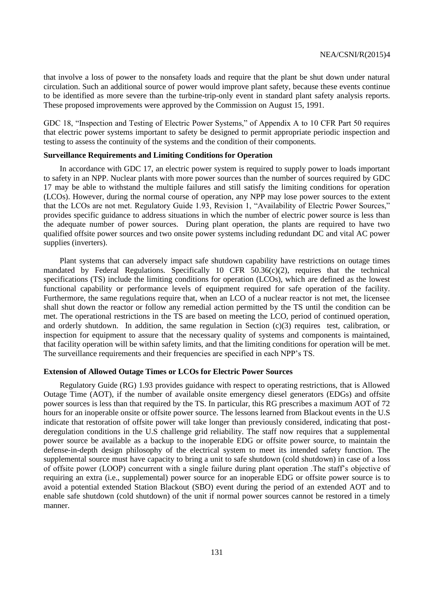that involve a loss of power to the nonsafety loads and require that the plant be shut down under natural circulation. Such an additional source of power would improve plant safety, because these events continue to be identified as more severe than the turbine-trip-only event in standard plant safety analysis reports. These proposed improvements were approved by the Commission on August 15, 1991.

GDC 18, "Inspection and Testing of Electric Power Systems," of Appendix A to 10 CFR Part 50 requires that electric power systems important to safety be designed to permit appropriate periodic inspection and testing to assess the continuity of the systems and the condition of their components.

#### **Surveillance Requirements and Limiting Conditions for Operation**

In accordance with GDC 17, an electric power system is required to supply power to loads important to safety in an NPP. Nuclear plants with more power sources than the number of sources required by GDC 17 may be able to withstand the multiple failures and still satisfy the limiting conditions for operation (LCOs). However, during the normal course of operation, any NPP may lose power sources to the extent that the LCOs are not met. Regulatory Guide 1.93, Revision 1, "Availability of Electric Power Sources," provides specific guidance to address situations in which the number of electric power source is less than the adequate number of power sources. During plant operation, the plants are required to have two qualified offsite power sources and two onsite power systems including redundant DC and vital AC power supplies (inverters).

Plant systems that can adversely impact safe shutdown capability have restrictions on outage times mandated by Federal Regulations. Specifically 10 CFR  $50.36(c)(2)$ , requires that the technical specifications (TS) include the limiting conditions for operation (LCOs), which are defined as the lowest functional capability or performance levels of equipment required for safe operation of the facility. Furthermore, the same regulations require that, when an LCO of a nuclear reactor is not met, the licensee shall shut down the reactor or follow any remedial action permitted by the TS until the condition can be met. The operational restrictions in the TS are based on meeting the LCO, period of continued operation, and orderly shutdown. In addition, the same regulation in Section  $(c)(3)$  requires test, calibration, or inspection for equipment to assure that the necessary quality of systems and components is maintained, that facility operation will be within safety limits, and that the limiting conditions for operation will be met. The surveillance requirements and their frequencies are specified in each NPP's TS.

## **Extension of Allowed Outage Times or LCOs for Electric Power Sources**

Regulatory Guide (RG) 1.93 provides guidance with respect to operating restrictions, that is Allowed Outage Time (AOT), if the number of available onsite emergency diesel generators (EDGs) and offsite power sources is less than that required by the TS. In particular, this RG prescribes a maximum AOT of 72 hours for an inoperable onsite or offsite power source. The lessons learned from Blackout events in the U.S indicate that restoration of offsite power will take longer than previously considered, indicating that postderegulation conditions in the U.S challenge grid reliability. The staff now requires that a supplemental power source be available as a backup to the inoperable EDG or offsite power source, to maintain the defense-in-depth design philosophy of the electrical system to meet its intended safety function. The supplemental source must have capacity to bring a unit to safe shutdown (cold shutdown) in case of a loss of offsite power (LOOP) concurrent with a single failure during plant operation .The staff's objective of requiring an extra (i.e., supplemental) power source for an inoperable EDG or offsite power source is to avoid a potential extended Station Blackout (SBO) event during the period of an extended AOT and to enable safe shutdown (cold shutdown) of the unit if normal power sources cannot be restored in a timely manner.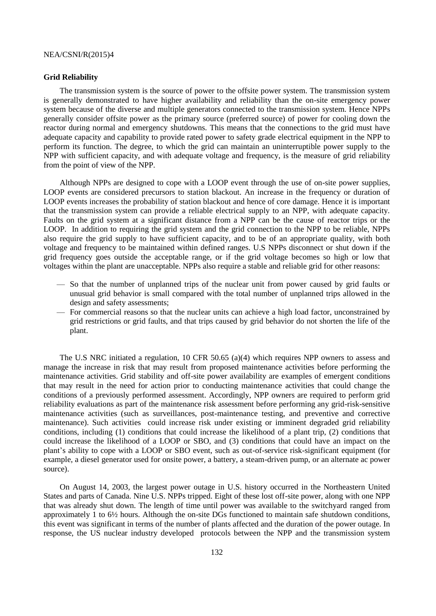#### **Grid Reliability**

The transmission system is the source of power to the offsite power system. The transmission system is generally demonstrated to have higher availability and reliability than the on-site emergency power system because of the diverse and multiple generators connected to the transmission system. Hence NPPs generally consider offsite power as the primary source (preferred source) of power for cooling down the reactor during normal and emergency shutdowns. This means that the connections to the grid must have adequate capacity and capability to provide rated power to safety grade electrical equipment in the NPP to perform its function. The degree, to which the grid can maintain an uninterruptible power supply to the NPP with sufficient capacity, and with adequate voltage and frequency, is the measure of grid reliability from the point of view of the NPP.

Although NPPs are designed to cope with a LOOP event through the use of on-site power supplies, LOOP events are considered precursors to station blackout. An increase in the frequency or duration of LOOP events increases the probability of station blackout and hence of core damage. Hence it is important that the transmission system can provide a reliable electrical supply to an NPP, with adequate capacity. Faults on the grid system at a significant distance from a NPP can be the cause of reactor trips or the LOOP. In addition to requiring the grid system and the grid connection to the NPP to be reliable, NPPs also require the grid supply to have sufficient capacity, and to be of an appropriate quality, with both voltage and frequency to be maintained within defined ranges. U.S NPPs disconnect or shut down if the grid frequency goes outside the acceptable range, or if the grid voltage becomes so high or low that voltages within the plant are unacceptable. NPPs also require a stable and reliable grid for other reasons:

- So that the number of unplanned trips of the nuclear unit from power caused by grid faults or unusual grid behavior is small compared with the total number of unplanned trips allowed in the design and safety assessments;
- For commercial reasons so that the nuclear units can achieve a high load factor, unconstrained by grid restrictions or grid faults, and that trips caused by grid behavior do not shorten the life of the plant.

The U.S NRC initiated a regulation, 10 CFR 50.65 (a)(4) which requires NPP owners to assess and manage the increase in risk that may result from proposed maintenance activities before performing the maintenance activities. Grid stability and off-site power availability are examples of emergent conditions that may result in the need for action prior to conducting maintenance activities that could change the conditions of a previously performed assessment. Accordingly, NPP owners are required to perform grid reliability evaluations as part of the maintenance risk assessment before performing any grid-risk-sensitive maintenance activities (such as surveillances, post-maintenance testing, and preventive and corrective maintenance). Such activities could increase risk under existing or imminent degraded grid reliability conditions, including (1) conditions that could increase the likelihood of a plant trip, (2) conditions that could increase the likelihood of a LOOP or SBO, and (3) conditions that could have an impact on the plant's ability to cope with a LOOP or SBO event, such as out-of-service risk-significant equipment (for example, a diesel generator used for onsite power, a battery, a steam-driven pump, or an alternate ac power source).

On August 14, 2003, the largest power outage in U.S. history occurred in the Northeastern United States and parts of Canada. Nine U.S. NPPs tripped. Eight of these lost off-site power, along with one NPP that was already shut down. The length of time until power was available to the switchyard ranged from approximately 1 to 6½ hours. Although the on-site DGs functioned to maintain safe shutdown conditions, this event was significant in terms of the number of plants affected and the duration of the power outage. In response, the US nuclear industry developed protocols between the NPP and the transmission system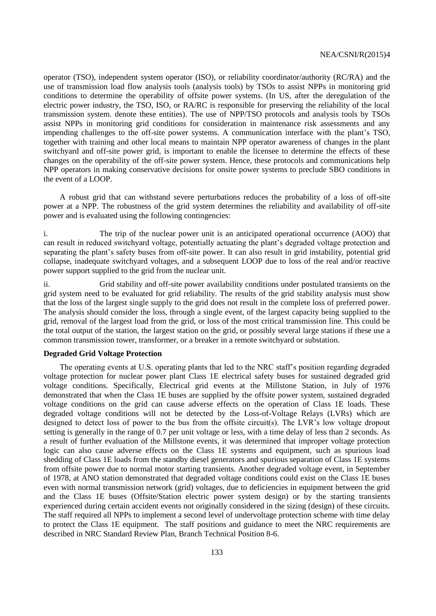operator (TSO), independent system operator (ISO), or reliability coordinator/authority (RC/RA) and the use of transmission load flow analysis tools (analysis tools) by TSOs to assist NPPs in monitoring grid conditions to determine the operability of offsite power systems. (In US, after the deregulation of the electric power industry, the TSO, ISO, or RA/RC is responsible for preserving the reliability of the local transmission system. denote these entities). The use of NPP/TSO protocols and analysis tools by TSOs assist NPPs in monitoring grid conditions for consideration in maintenance risk assessments and any impending challenges to the off-site power systems. A communication interface with the plant's TSO, together with training and other local means to maintain NPP operator awareness of changes in the plant switchyard and off-site power grid, is important to enable the licensee to determine the effects of these changes on the operability of the off-site power system. Hence, these protocols and communications help NPP operators in making conservative decisions for onsite power systems to preclude SBO conditions in the event of a LOOP.

A robust grid that can withstand severe perturbations reduces the probability of a loss of off-site power at a NPP. The robustness of the grid system determines the reliability and availability of off-site power and is evaluated using the following contingencies:

i. The trip of the nuclear power unit is an anticipated operational occurrence (AOO) that can result in reduced switchyard voltage, potentially actuating the plant's degraded voltage protection and separating the plant's safety buses from off-site power. It can also result in grid instability, potential grid collapse, inadequate switchyard voltages, and a subsequent LOOP due to loss of the real and/or reactive power support supplied to the grid from the nuclear unit.

ii. Grid stability and off-site power availability conditions under postulated transients on the grid system need to be evaluated for grid reliability. The results of the grid stability analysis must show that the loss of the largest single supply to the grid does not result in the complete loss of preferred power. The analysis should consider the loss, through a single event, of the largest capacity being supplied to the grid, removal of the largest load from the grid, or loss of the most critical transmission line. This could be the total output of the station, the largest station on the grid, or possibly several large stations if these use a common transmission tower, transformer, or a breaker in a remote switchyard or substation.

#### **Degraded Grid Voltage Protection**

The operating events at U.S. operating plants that led to the NRC staff's position regarding degraded voltage protection for nuclear power plant Class 1E electrical safety buses for sustained degraded grid voltage conditions. Specifically, Electrical grid events at the Millstone Station, in July of 1976 demonstrated that when the Class 1E buses are supplied by the offsite power system, sustained degraded voltage conditions on the grid can cause adverse effects on the operation of Class 1E loads. These degraded voltage conditions will not be detected by the Loss-of-Voltage Relays (LVRs) which are designed to detect loss of power to the bus from the offsite circuit(s). The LVR's low voltage dropout setting is generally in the range of 0.7 per unit voltage or less, with a time delay of less than 2 seconds. As a result of further evaluation of the Millstone events, it was determined that improper voltage protection logic can also cause adverse effects on the Class 1E systems and equipment, such as spurious load shedding of Class 1E loads from the standby diesel generators and spurious separation of Class 1E systems from offsite power due to normal motor starting transients. Another degraded voltage event, in September of 1978, at ANO station demonstrated that degraded voltage conditions could exist on the Class 1E buses even with normal transmission network (grid) voltages, due to deficiencies in equipment between the grid and the Class 1E buses (Offsite/Station electric power system design) or by the starting transients experienced during certain accident events not originally considered in the sizing (design) of these circuits. The staff required all NPPs to implement a second level of undervoltage protection scheme with time delay to protect the Class 1E equipment. The staff positions and guidance to meet the NRC requirements are described in NRC Standard Review Plan, Branch Technical Position 8-6.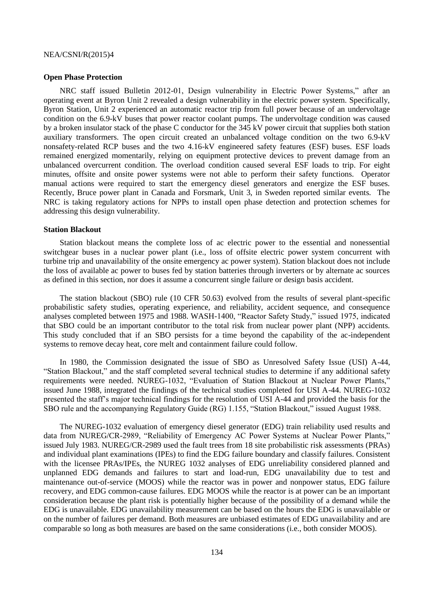#### **Open Phase Protection**

NRC staff issued Bulletin 2012-01, Design vulnerability in Electric Power Systems," after an operating event at Byron Unit 2 revealed a design vulnerability in the electric power system. Specifically, Byron Station, Unit 2 experienced an automatic reactor trip from full power because of an undervoltage condition on the 6.9-kV buses that power reactor coolant pumps. The undervoltage condition was caused by a broken insulator stack of the phase C conductor for the 345 kV power circuit that supplies both station auxiliary transformers. The open circuit created an unbalanced voltage condition on the two 6.9-kV nonsafety-related RCP buses and the two 4.16-kV engineered safety features (ESF) buses. ESF loads remained energized momentarily, relying on equipment protective devices to prevent damage from an unbalanced overcurrent condition. The overload condition caused several ESF loads to trip. For eight minutes, offsite and onsite power systems were not able to perform their safety functions. Operator manual actions were required to start the emergency diesel generators and energize the ESF buses. Recently, Bruce power plant in Canada and Forsmark, Unit 3, in Sweden reported similar events. The NRC is taking regulatory actions for NPPs to install open phase detection and protection schemes for addressing this design vulnerability.

#### **Station Blackout**

Station blackout means the complete loss of ac electric power to the essential and nonessential switchgear buses in a nuclear power plant (i.e., loss of offsite electric power system concurrent with turbine trip and unavailability of the onsite emergency ac power system). Station blackout does not include the loss of available ac power to buses fed by station batteries through inverters or by alternate ac sources as defined in this section, nor does it assume a concurrent single failure or design basis accident.

The station blackout (SBO) rule (10 CFR 50.63) evolved from the results of several plant-specific probabilistic safety studies, operating experience, and reliability, accident sequence, and consequence analyses completed between 1975 and 1988. WASH-1400, "Reactor Safety Study," issued 1975, indicated that SBO could be an important contributor to the total risk from nuclear power plant (NPP) accidents. This study concluded that if an SBO persists for a time beyond the capability of the ac-independent systems to remove decay heat, core melt and containment failure could follow.

In 1980, the Commission designated the issue of SBO as Unresolved Safety Issue (USI) A-44, "Station Blackout," and the staff completed several technical studies to determine if any additional safety requirements were needed. NUREG-1032, "Evaluation of Station Blackout at Nuclear Power Plants," issued June 1988, integrated the findings of the technical studies completed for USI A-44. NUREG-1032 presented the staff's major technical findings for the resolution of USI A-44 and provided the basis for the SBO rule and the accompanying Regulatory Guide (RG) 1.155, "Station Blackout," issued August 1988.

The NUREG-1032 evaluation of emergency diesel generator (EDG) train reliability used results and data from NUREG/CR-2989, "Reliability of Emergency AC Power Systems at Nuclear Power Plants," issued July 1983. NUREG/CR-2989 used the fault trees from 18 site probabilistic risk assessments (PRAs) and individual plant examinations (IPEs) to find the EDG failure boundary and classify failures. Consistent with the licensee PRAs/IPEs, the NUREG 1032 analyses of EDG unreliability considered planned and unplanned EDG demands and failures to start and load-run, EDG unavailability due to test and maintenance out-of-service (MOOS) while the reactor was in power and nonpower status, EDG failure recovery, and EDG common-cause failures. EDG MOOS while the reactor is at power can be an important consideration because the plant risk is potentially higher because of the possibility of a demand while the EDG is unavailable. EDG unavailability measurement can be based on the hours the EDG is unavailable or on the number of failures per demand. Both measures are unbiased estimates of EDG unavailability and are comparable so long as both measures are based on the same considerations (i.e., both consider MOOS).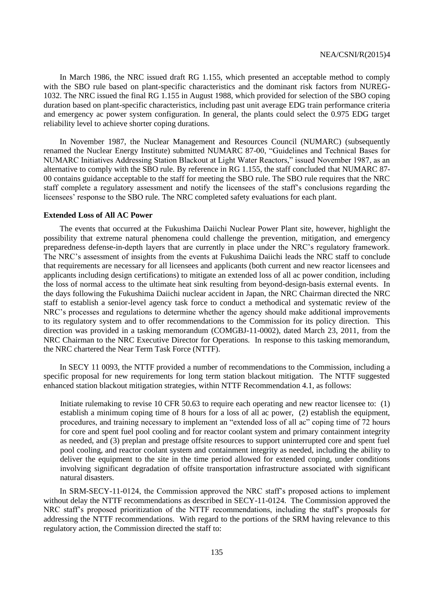In March 1986, the NRC issued draft RG 1.155, which presented an acceptable method to comply with the SBO rule based on plant-specific characteristics and the dominant risk factors from NUREG-1032. The NRC issued the final RG 1.155 in August 1988, which provided for selection of the SBO coping duration based on plant-specific characteristics, including past unit average EDG train performance criteria and emergency ac power system configuration. In general, the plants could select the 0.975 EDG target reliability level to achieve shorter coping durations.

In November 1987, the Nuclear Management and Resources Council (NUMARC) (subsequently renamed the Nuclear Energy Institute) submitted NUMARC 87-00, "Guidelines and Technical Bases for NUMARC Initiatives Addressing Station Blackout at Light Water Reactors," issued November 1987, as an alternative to comply with the SBO rule. By reference in RG 1.155, the staff concluded that NUMARC 87- 00 contains guidance acceptable to the staff for meeting the SBO rule. The SBO rule requires that the NRC staff complete a regulatory assessment and notify the licensees of the staff's conclusions regarding the licensees' response to the SBO rule. The NRC completed safety evaluations for each plant.

#### **Extended Loss of All AC Power**

The events that occurred at the Fukushima Daiichi Nuclear Power Plant site, however, highlight the possibility that extreme natural phenomena could challenge the prevention, mitigation, and emergency preparedness defense-in-depth layers that are currently in place under the NRC's regulatory framework. The NRC's assessment of insights from the events at Fukushima Daiichi leads the NRC staff to conclude that requirements are necessary for all licensees and applicants (both current and new reactor licensees and applicants including design certifications) to mitigate an extended loss of all ac power condition, including the loss of normal access to the ultimate heat sink resulting from beyond-design-basis external events. In the days following the Fukushima Daiichi nuclear accident in Japan, the NRC Chairman directed the NRC staff to establish a senior-level agency task force to conduct a methodical and systematic review of the NRC's processes and regulations to determine whether the agency should make additional improvements to its regulatory system and to offer recommendations to the Commission for its policy direction. This direction was provided in a tasking memorandum (COMGBJ-11-0002), dated March 23, 2011, from the NRC Chairman to the NRC Executive Director for Operations. In response to this tasking memorandum, the NRC chartered the Near Term Task Force (NTTF).

In SECY 11 0093, the NTTF provided a number of recommendations to the Commission, including a specific proposal for new requirements for long term station blackout mitigation. The NTTF suggested enhanced station blackout mitigation strategies, within NTTF Recommendation 4.1, as follows:

Initiate rulemaking to revise 10 CFR 50.63 to require each operating and new reactor licensee to: (1) establish a minimum coping time of 8 hours for a loss of all ac power, (2) establish the equipment, procedures, and training necessary to implement an "extended loss of all ac" coping time of 72 hours for core and spent fuel pool cooling and for reactor coolant system and primary containment integrity as needed, and (3) preplan and prestage offsite resources to support uninterrupted core and spent fuel pool cooling, and reactor coolant system and containment integrity as needed, including the ability to deliver the equipment to the site in the time period allowed for extended coping, under conditions involving significant degradation of offsite transportation infrastructure associated with significant natural disasters.

In SRM-SECY-11-0124, the Commission approved the NRC staff's proposed actions to implement without delay the NTTF recommendations as described in SECY-11-0124. The Commission approved the NRC staff's proposed prioritization of the NTTF recommendations, including the staff's proposals for addressing the NTTF recommendations. With regard to the portions of the SRM having relevance to this regulatory action, the Commission directed the staff to: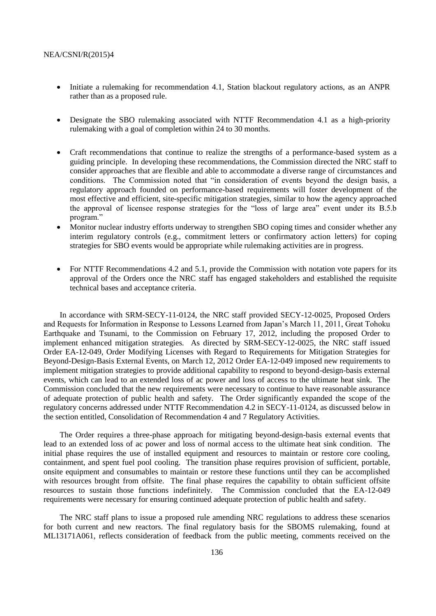- Initiate a rulemaking for recommendation 4.1, Station blackout regulatory actions, as an ANPR rather than as a proposed rule.
- Designate the SBO rulemaking associated with NTTF Recommendation 4.1 as a high-priority rulemaking with a goal of completion within 24 to 30 months.
- Craft recommendations that continue to realize the strengths of a performance-based system as a guiding principle. In developing these recommendations, the Commission directed the NRC staff to consider approaches that are flexible and able to accommodate a diverse range of circumstances and conditions. The Commission noted that "in consideration of events beyond the design basis, a regulatory approach founded on performance-based requirements will foster development of the most effective and efficient, site-specific mitigation strategies, similar to how the agency approached the approval of licensee response strategies for the "loss of large area" event under its B.5.b program."
- Monitor nuclear industry efforts underway to strengthen SBO coping times and consider whether any interim regulatory controls (e.g., commitment letters or confirmatory action letters) for coping strategies for SBO events would be appropriate while rulemaking activities are in progress.
- For NTTF Recommendations 4.2 and 5.1, provide the Commission with notation vote papers for its approval of the Orders once the NRC staff has engaged stakeholders and established the requisite technical bases and acceptance criteria.

In accordance with SRM-SECY-11-0124, the NRC staff provided SECY-12-0025, Proposed Orders and Requests for Information in Response to Lessons Learned from Japan's March 11, 2011, Great Tohoku Earthquake and Tsunami, to the Commission on February 17, 2012, including the proposed Order to implement enhanced mitigation strategies. As directed by SRM-SECY-12-0025, the NRC staff issued Order EA-12-049, Order Modifying Licenses with Regard to Requirements for Mitigation Strategies for Beyond-Design-Basis External Events, on March 12, 2012 Order EA-12-049 imposed new requirements to implement mitigation strategies to provide additional capability to respond to beyond-design-basis external events, which can lead to an extended loss of ac power and loss of access to the ultimate heat sink. The Commission concluded that the new requirements were necessary to continue to have reasonable assurance of adequate protection of public health and safety. The Order significantly expanded the scope of the regulatory concerns addressed under NTTF Recommendation 4.2 in SECY-11-0124, as discussed below in the section entitled, Consolidation of Recommendation 4 and 7 Regulatory Activities.

The Order requires a three-phase approach for mitigating beyond-design-basis external events that lead to an extended loss of ac power and loss of normal access to the ultimate heat sink condition. The initial phase requires the use of installed equipment and resources to maintain or restore core cooling, containment, and spent fuel pool cooling. The transition phase requires provision of sufficient, portable, onsite equipment and consumables to maintain or restore these functions until they can be accomplished with resources brought from offsite. The final phase requires the capability to obtain sufficient offsite resources to sustain those functions indefinitely. The Commission concluded that the EA-12-049 requirements were necessary for ensuring continued adequate protection of public health and safety.

The NRC staff plans to issue a proposed rule amending NRC regulations to address these scenarios for both current and new reactors. The final regulatory basis for the SBOMS rulemaking, found at ML13171A061, reflects consideration of feedback from the public meeting, comments received on the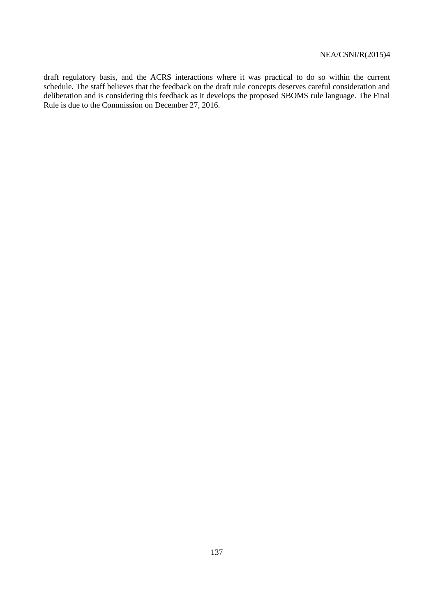draft regulatory basis, and the ACRS interactions where it was practical to do so within the current schedule. The staff believes that the feedback on the draft rule concepts deserves careful consideration and deliberation and is considering this feedback as it develops the proposed SBOMS rule language. The Final Rule is due to the Commission on December 27, 2016.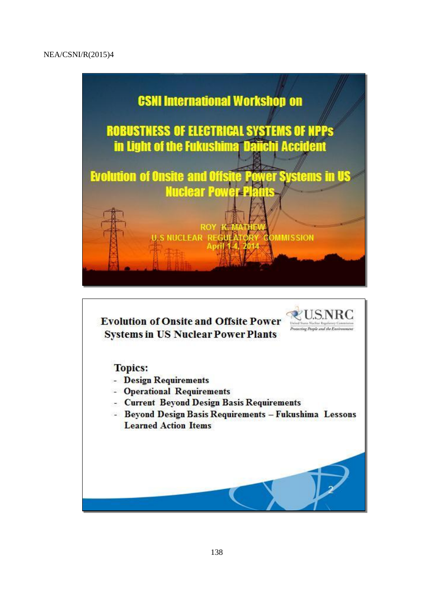

**Evolution of Onsite and Offsite Power Systems in US Nuclear Power Plants** 

# **Topics:**

- Design Requirements
- Operational Requirements
- Current Beyond Design Basis Requirements
- Beyond Design Basis Requirements Fukushima Lessons **Learned Action Items**

Protecting People and the E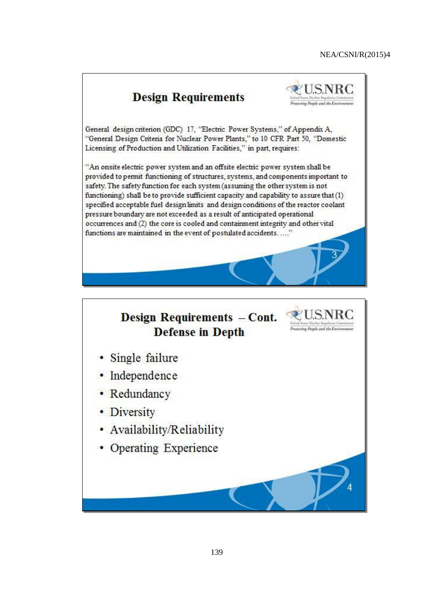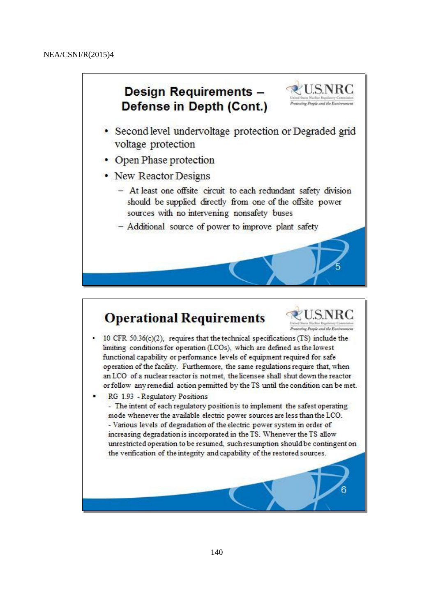# Design Requirements -Defense in Depth (Cont.)



- Second level undervoltage protection or Degraded grid voltage protection
- Open Phase protection
- New Reactor Designs
	- At least one offsite circuit to each redundant safety division should be supplied directly from one of the offsite power sources with no intervening nonsafety buses
	- Additional source of power to improve plant safety

# **Operational Requirements**



- 10 CFR 50.36(c)(2), requires that the technical specifications (TS) include the limiting conditions for operation (LCOs), which are defined as the lowest functional capability or performance levels of equipment required for safe operation of the facility. Furthermore, the same regulations require that, when an LCO of a nuclear reactor is not met, the licensee shall shut down the reactor or follow any remedial action permitted by the TS until the condition can be met.
- RG 1.93 Regulatory Positions
	- The intent of each regulatory position is to implement the safest operating mode whenever the available electric power sources are less than the LCO. - Various levels of degradation of the electric power system in order of increasing degradation is incorporated in the TS. Whenever the TS allow unrestricted operation to be resumed, such resumption should be contingent on the verification of the integrity and capability of the restored sources.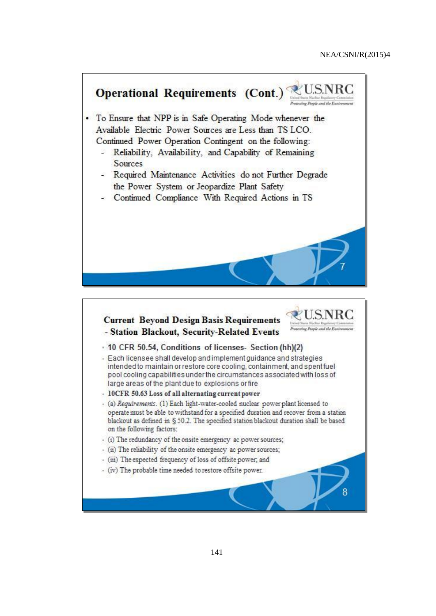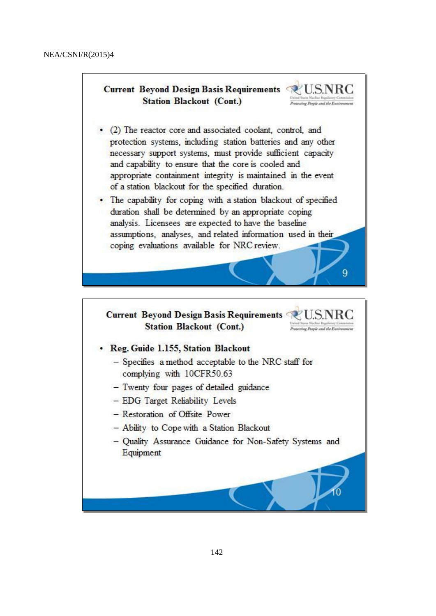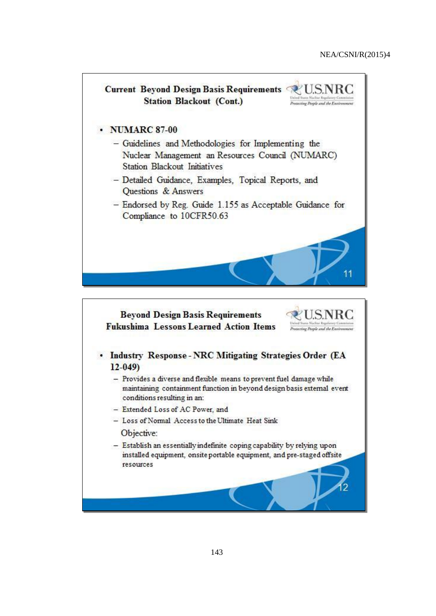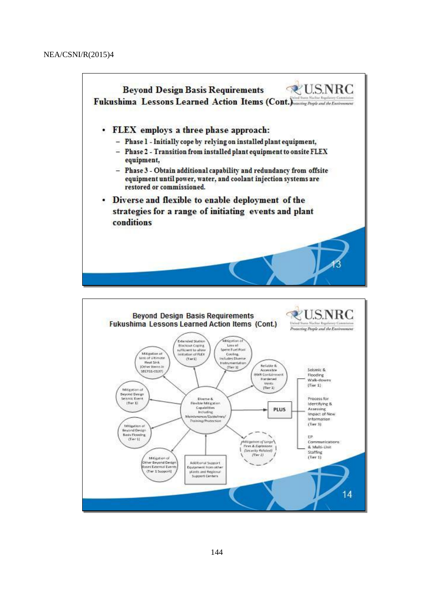